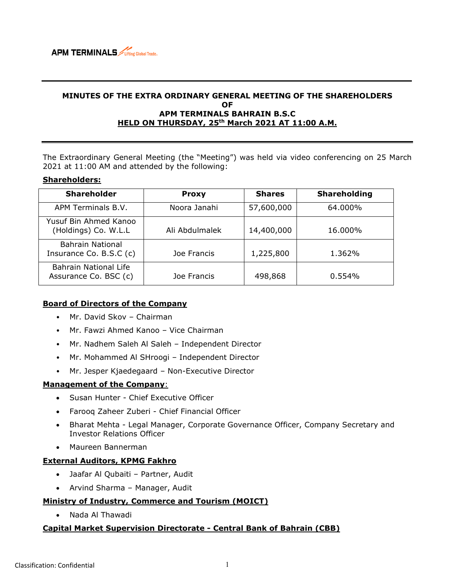

## **MINUTES OF THE EXTRA ORDINARY GENERAL MEETING OF THE SHAREHOLDERS OF APM TERMINALS BAHRAIN B.S.C HELD ON THURSDAY, 25th March 2021 AT 11:00 A.M.**

The Extraordinary General Meeting (the "Meeting") was held via video conferencing on 25 March 2021 at 11:00 AM and attended by the following:

### **Shareholders:**

| <b>Shareholder</b>                             | <b>Proxy</b>   | <b>Shares</b> | <b>Shareholding</b> |
|------------------------------------------------|----------------|---------------|---------------------|
| APM Terminals B.V.                             | Noora Janahi   | 57,600,000    | 64.000%             |
| Yusuf Bin Ahmed Kanoo<br>(Holdings) Co. W.L.L  | Ali Abdulmalek | 14,400,000    | 16.000%             |
| Bahrain National<br>Insurance Co. B.S.C (c)    | Joe Francis    | 1,225,800     | 1.362%              |
| Bahrain National Life<br>Assurance Co. BSC (c) | Joe Francis    | 498,868       | 0.554%              |

## **Board of Directors of the Company**

- Mr. David Skov Chairman
- Mr. Fawzi Ahmed Kanoo Vice Chairman
- Mr. Nadhem Saleh Al Saleh Independent Director
- Mr. Mohammed Al SHroogi Independent Director
- Mr. Jesper Kjaedegaard Non-Executive Director

#### **Management of the Company**:

- Susan Hunter Chief Executive Officer
- Farooq Zaheer Zuberi Chief Financial Officer
- Bharat Mehta Legal Manager, Corporate Governance Officer, Company Secretary and Investor Relations Officer
- Maureen Bannerman

#### **External Auditors, KPMG Fakhro**

- Jaafar Al Qubaiti Partner, Audit
- Arvind Sharma Manager, Audit

## **Ministry of Industry, Commerce and Tourism (MOICT)**

• Nada Al Thawadi

### **Capital Market Supervision Directorate - Central Bank of Bahrain (CBB)**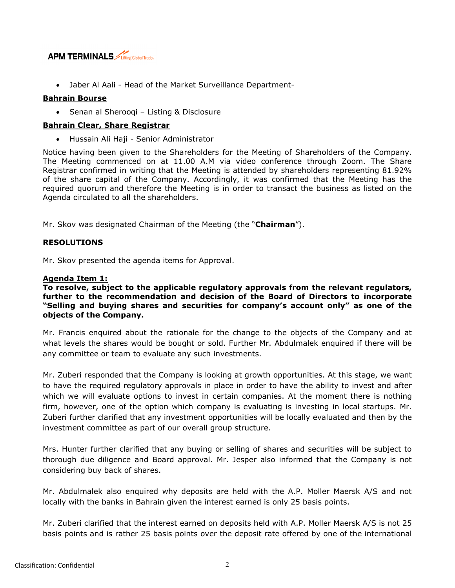

• Jaber Al Aali - Head of the Market Surveillance Department-

# **Bahrain Bourse**

• Senan al Sherooqi – Listing & Disclosure

## **Bahrain Clear, Share Registrar**

• Hussain Ali Haji - Senior Administrator

Notice having been given to the Shareholders for the Meeting of Shareholders of the Company. The Meeting commenced on at 11.00 A.M via video conference through Zoom. The Share Registrar confirmed in writing that the Meeting is attended by shareholders representing 81.92% of the share capital of the Company. Accordingly, it was confirmed that the Meeting has the required quorum and therefore the Meeting is in order to transact the business as listed on the Agenda circulated to all the shareholders.

Mr. Skov was designated Chairman of the Meeting (the "**Chairman**").

# **RESOLUTIONS**

Mr. Skov presented the agenda items for Approval.

## **Agenda Item 1:**

**To resolve, subject to the applicable regulatory approvals from the relevant regulators, further to the recommendation and decision of the Board of Directors to incorporate "Selling and buying shares and securities for company's account only" as one of the objects of the Company.**

Mr. Francis enquired about the rationale for the change to the objects of the Company and at what levels the shares would be bought or sold. Further Mr. Abdulmalek enquired if there will be any committee or team to evaluate any such investments.

Mr. Zuberi responded that the Company is looking at growth opportunities. At this stage, we want to have the required regulatory approvals in place in order to have the ability to invest and after which we will evaluate options to invest in certain companies. At the moment there is nothing firm, however, one of the option which company is evaluating is investing in local startups. Mr. Zuberi further clarified that any investment opportunities will be locally evaluated and then by the investment committee as part of our overall group structure.

Mrs. Hunter further clarified that any buying or selling of shares and securities will be subject to thorough due diligence and Board approval. Mr. Jesper also informed that the Company is not considering buy back of shares.

Mr. Abdulmalek also enquired why deposits are held with the A.P. Moller Maersk A/S and not locally with the banks in Bahrain given the interest earned is only 25 basis points.

Mr. Zuberi clarified that the interest earned on deposits held with A.P. Moller Maersk A/S is not 25 basis points and is rather 25 basis points over the deposit rate offered by one of the international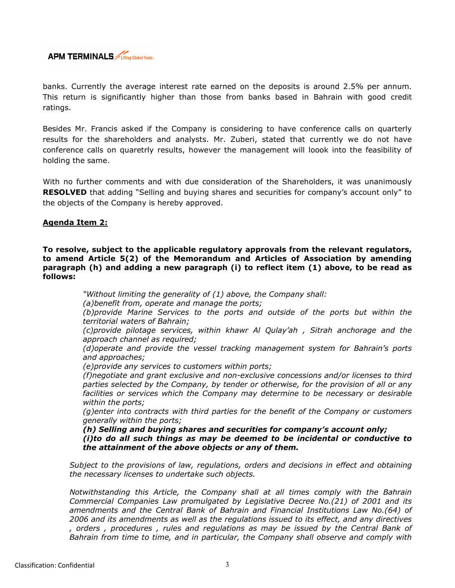

banks. Currently the average interest rate earned on the deposits is around 2.5% per annum. This return is significantly higher than those from banks based in Bahrain with good credit ratings.

Besides Mr. Francis asked if the Company is considering to have conference calls on quarterly results for the shareholders and analysts. Mr. Zuberi, stated that currently we do not have conference calls on quaretrly results, however the management will loook into the feasibility of holding the same.

With no further comments and with due consideration of the Shareholders, it was unanimously **RESOLVED** that adding "Selling and buying shares and securities for company's account only" to the objects of the Company is hereby approved.

# **Agenda Item 2:**

**To resolve, subject to the applicable regulatory approvals from the relevant regulators, to amend Article 5(2) of the Memorandum and Articles of Association by amending paragraph (h) and adding a new paragraph (i) to reflect item (1) above, to be read as follows:** 

*"Without limiting the generality of (1) above, the Company shall:*

*(a)benefit from, operate and manage the ports;*

*(b)provide Marine Services to the ports and outside of the ports but within the territorial waters of Bahrain;*

*(c)provide pilotage services, within khawr Al Qulay'ah , Sitrah anchorage and the approach channel as required;*

*(d)operate and provide the vessel tracking management system for Bahrain's ports and approaches;*

*(e)provide any services to customers within ports;*

*(f)negotiate and grant exclusive and non-exclusive concessions and/or licenses to third parties selected by the Company, by tender or otherwise, for the provision of all or any facilities or services which the Company may determine to be necessary or desirable within the ports;*

*(g)enter into contracts with third parties for the benefit of the Company or customers generally within the ports;*

*(h) Selling and buying shares and securities for company's account only; (i)to do all such things as may be deemed to be incidental or conductive to the attainment of the above objects or any of them.* 

*Subject to the provisions of law, regulations, orders and decisions in effect and obtaining the necessary licenses to undertake such objects.*

*Notwithstanding this Article, the Company shall at all times comply with the Bahrain Commercial Companies Law promulgated by Legislative Decree No.(21) of 2001 and its amendments and the Central Bank of Bahrain and Financial Institutions Law No.(64) of 2006 and its amendments as well as the regulations issued to its effect, and any directives , orders , procedures , rules and regulations as may be issued by the Central Bank of Bahrain from time to time, and in particular, the Company shall observe and comply with*